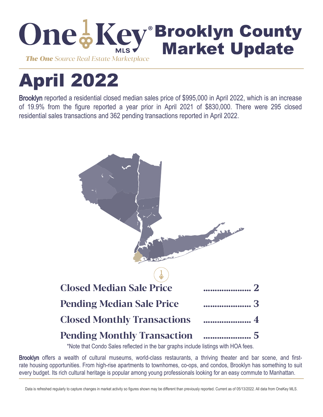

# April 2022

Brooklyn reported a residential closed median sales price of \$995,000 in April 2022, which is an increase of 19.9% from the figure reported a year prior in April 2021 of \$830,000. There were 295 closed residential sales transactions and 362 pending transactions reported in April 2022.



\*Note that Condo Sales reflected in the bar graphs include listings with HOA fees.

Brooklyn offers a wealth of cultural museums, world-class restaurants, a thriving theater and bar scene, and firstrate housing opportunities. From high-rise apartments to townhomes, co-ops, and condos, Brooklyn has something to suit every budget. Its rich cultural heritage is popular among young professionals looking for an easy commute to Manhattan.

Data is refreshed regularly to capture changes in market activity so figures shown may be different than previously reported. Current as of 05/13/2022. All data from OneKey MLS.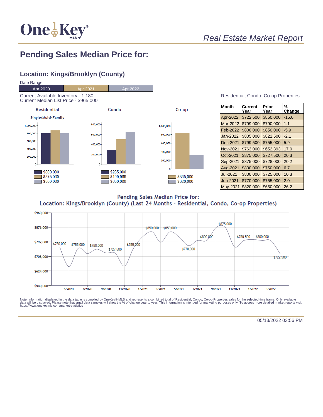

## **Pending Sales Median Price for:**

#### **Location: Kings/Brooklyn (County)**



| Residential, Condo, Co-op Properties |  |  |
|--------------------------------------|--|--|
|                                      |  |  |

| <b>Month</b>    | Current<br>Year | Prior<br>Year | %<br>Change |
|-----------------|-----------------|---------------|-------------|
| Apr-2022        | \$722,500       | \$850,000     | $-15.0$     |
| Mar-2022        | \$799,000       | \$790,000     | 1.1         |
| Feb-2022        | \$800,000       | \$850,000     | $-5.9$      |
| <b>Jan-2022</b> | \$805,000       | \$822,500     | $-2.1$      |
| Dec-2021        | \$799,500       | \$755,000     | 5.9         |
| Nov-2021        | \$763,000       | \$652,393     | 17.0        |
| Oct-2021        | \$875,000       | \$727.500     | 20.3        |
| Sep-2021        | \$875,000       | \$728.000     | 20.2        |
| Aug-2021        | \$800,000       | \$750,000     | 6.7         |
| Jul-2021        | \$800,000       | \$725,000     | 10.3        |
| Jun-2021        | \$770,000       | \$755,000     | 2.0         |
| May-2021        | \$820,000       | \$650,000     | 26.2        |

Pending Sales Median Price for: Location: Kings/Brooklyn (County) (Last 24 Months - Residential, Condo, Co-op Properties)



Note: Information displayed in the data table is compiled by OneKey® MLS and represents a combined total of Residential, Condo, Co-op Properties sales for the selected time frame. Only available<br>data will be displayed. Pl

05/13/2022 03:56 PM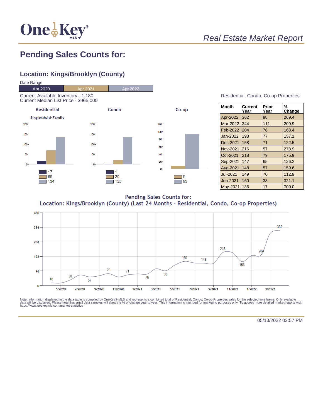

# **Pending Sales Counts for:**

#### **Location: Kings/Brooklyn (County)**



#### Residential, Condo, Co-op Properties

| Month           | Current<br>Year | Prior<br>Year | %<br>Change |
|-----------------|-----------------|---------------|-------------|
| Apr-2022        | 362             | 98            | 269.4       |
| Mar-2022        | 344             | 111           | 209.9       |
| Feb-2022        | 204             | 76            | 168.4       |
| Jan-2022        | 198             | 77            | 157.1       |
| Dec-2021        | 158             | 71            | 122.5       |
| <b>Nov-2021</b> | 216             | 57            | 278.9       |
| Oct-2021        | 218             | 79            | 175.9       |
| Sep-2021        | 147             | 65            | 126.2       |
| Aug-2021        | 148             | 57            | 159.6       |
| <b>Jul-2021</b> | 149             | 70            | 112.9       |
| Jun-2021        | 160             | 38            | 321.1       |
| May-2021        | 136             | 17            | 700.0       |

**Pending Sales Counts for:** Location: Kings/Brooklyn (County) (Last 24 Months - Residential, Condo, Co-op Properties)



Note: Information displayed in the data table is compiled by OneKey® MLS and represents a combined total of Residential, Condo, Co-op Properties sales for the selected time frame. Only available<br>data will be displayed. Pl

05/13/2022 03:57 PM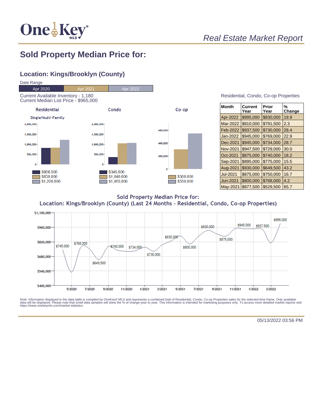

# Real Estate Market Report

### **Sold Property Median Price for:**

#### **Location: Kings/Brooklyn (County)**



| Residential, Condo, Co-op Properties |  |  |
|--------------------------------------|--|--|
|                                      |  |  |

| <b>Month</b>    | Current<br>Year | Prior<br>Year | %<br>Change |
|-----------------|-----------------|---------------|-------------|
| Apr-2022        | \$995,000       | \$830,000     | 19.9        |
| Mar-2022        | \$810,000       | \$791,500     | 2.3         |
| Feb-2022        | \$937,500       | \$730,000     | 28.4        |
| Jan-2022        | \$945,000       | \$769,000     | 22.9        |
| Dec-2021        | \$945,000       | \$734,000     | 28.7        |
| Nov-2021        | \$947,500       | \$729,000     | 30.0        |
| Oct-2021        | \$875,000       | \$740,000     | 18.2        |
| Sep-2021        | \$895,000       | \$775,000     | 15.5        |
| Aug-2021        | \$930,000       | \$649,500     | 43.2        |
| <b>Jul-2021</b> | \$875,000       | \$750,000     | 16.7        |
| Jun-2021        | \$800,000       | \$768,000     | 4.2         |
| May-2021        | \$877,500       | \$529,500     | 65.7        |

**Sold Property Median Price for:** Location: Kings/Brooklyn (County) (Last 24 Months - Residential, Condo, Co-op Properties)



Note: Information displayed in the data table is compiled by OneKey® MLS and represents a combined total of Residential, Condo, Co-op Properties sales for the selected time frame. Only available<br>data will be displayed. Pl

05/13/2022 03:56 PM